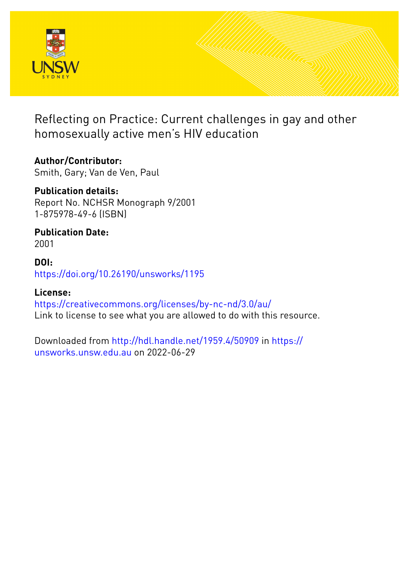

Reflecting on Practice: Current challenges in gay and other homosexually active men's HIV education

**Author/Contributor:** Smith, Gary; Van de Ven, Paul

**Publication details:** Report No. NCHSR Monograph 9/2001 1-875978-49-6 (ISBN)

**Publication Date:** 2001

**DOI:** [https://doi.org/10.26190/unsworks/1195](http://dx.doi.org/https://doi.org/10.26190/unsworks/1195)

**License:** <https://creativecommons.org/licenses/by-nc-nd/3.0/au/> Link to license to see what you are allowed to do with this resource.

Downloaded from <http://hdl.handle.net/1959.4/50909> in [https://](https://unsworks.unsw.edu.au) [unsworks.unsw.edu.au](https://unsworks.unsw.edu.au) on 2022-06-29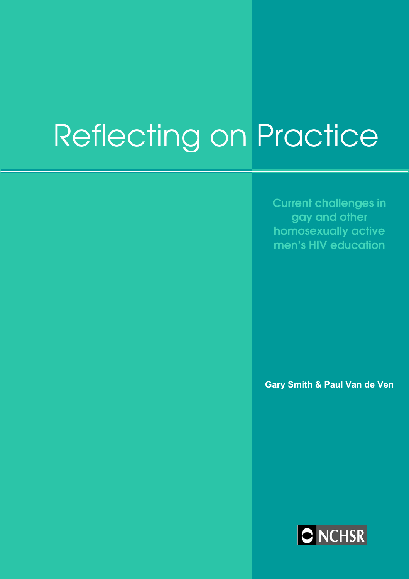# Reflecting on Practice

**Current challenges in gay and other homosexually active men's HIV education** 

**Gary Smith & Paul Van de Ven** 

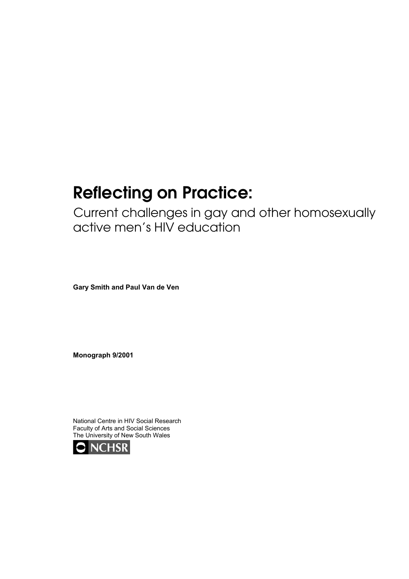# **Reflecting on Practice:**

Current challenges in gay and other homosexually active men's HIV education

**Gary Smith and Paul Van de Ven** 

**Monograph 9/2001** 

National Centre in HIV Social Research Faculty of Arts and Social Sciences The University of New South Wales

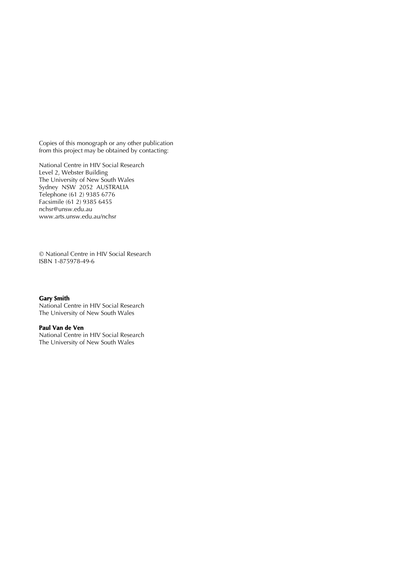Copies of this monograph or any other publication from this project may be obtained by contacting:

National Centre in HIV Social Research Level 2, Webster Building The University of New South Wales Sydney NSW 2052 AUSTRALIA Telephone (61 2) 9385 6776 Facsimile (61 2) 9385 6455 [nchsr@unsw.edu.au](mailto:nchsr@unsw.edu.au) [www.arts.unsw.edu.au/nchsr](http://www.arts.unsw.edu.au/nchsr)

 National Centre in HIV Social Research ISBN 1-875978-49-6

#### *Gary Smith*

National Centre in HIV Social Research The University of New South Wales

#### *Paul Van de Ven*

National Centre in HIV Social Research The University of New South Wales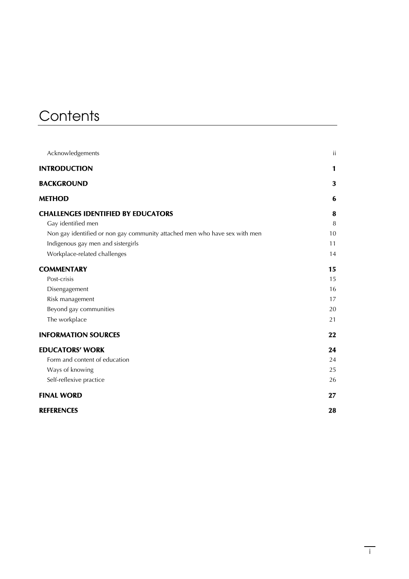# **Contents**

| Acknowledgements                                                           | ίi          |
|----------------------------------------------------------------------------|-------------|
| <b>INTRODUCTION</b>                                                        | $\mathbf 1$ |
| <b>BACKGROUND</b>                                                          | 3           |
| <b>METHOD</b>                                                              | 6           |
| <b>CHALLENGES IDENTIFIED BY EDUCATORS</b>                                  | 8           |
| Gay identified men                                                         | $\, 8$      |
| Non gay identified or non gay community attached men who have sex with men | 10          |
| Indigenous gay men and sistergirls                                         | 11          |
| Workplace-related challenges                                               | 14          |
| <b>COMMENTARY</b>                                                          | 15          |
| Post-crisis                                                                | 15          |
| Disengagement                                                              | 16          |
| Risk management                                                            | 17          |
| Beyond gay communities                                                     | 20          |
| The workplace                                                              | 21          |
| <b>INFORMATION SOURCES</b>                                                 | 22          |
| <b>EDUCATORS' WORK</b>                                                     | 24          |
| Form and content of education                                              | 24          |
| Ways of knowing                                                            | 25          |
| Self-reflexive practice                                                    | 26          |
| <b>FINAL WORD</b>                                                          | 27          |
| REFERENCES                                                                 | 28          |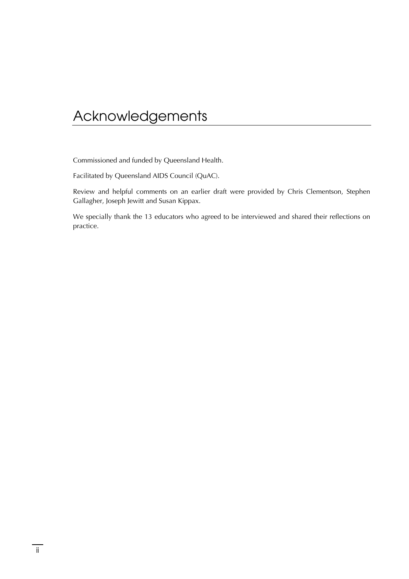# <span id="page-6-0"></span>Acknowledgements

Commissioned and funded by Queensland Health.

Facilitated by Queensland AIDS Council (QuAC).

Review and helpful comments on an earlier draft were provided by Chris Clementson, Stephen Gallagher, Joseph Jewitt and Susan Kippax.

We specially thank the 13 educators who agreed to be interviewed and shared their reflections on practice.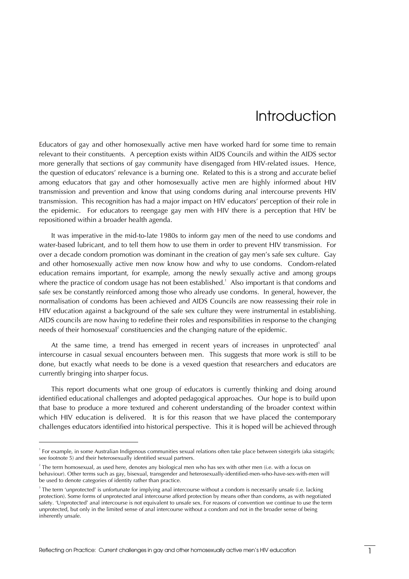# Introduction

<span id="page-7-0"></span>Educators of gay and other homosexually active men have worked hard for some time to remain relevant to their constituents. A perception exists within AIDS Councils and within the AIDS sector more generally that sections of gay community have disengaged from HIV-related issues. Hence, the question of educators' relevance is a burning one. Related to this is a strong and accurate belief among educators that gay and other homosexually active men are highly informed about HIV transmission and prevention and know that using condoms during anal intercourse prevents HIV transmission. This recognition has had a major impact on HIV educators' perception of their role in the epidemic. For educators to reengage gay men with HIV there is a perception that HIV be repositioned within a broader health agenda.

It was imperative in the mid-to-late 1980s to inform gay men of the need to use condoms and water-based lubricant, and to tell them how to use them in order to prevent HIV transmission. For over a decade condom promotion was dominant in the creation of gay men's safe sex culture. Gay and other homosexually active men now know how and why to use condoms. Condom-related education remains important, for example, among the newly sexually active and among groups where the practice of condom usage has not been established. $^1$  $^1$  Also important is that condoms and safe sex be constantly reinforced among those who already use condoms. In general, however, the normalisation of condoms has been achieved and AIDS Councils are now reassessing their role in HIV education against a background of the safe sex culture they were instrumental in establishing. AIDS councils are now having to redefine their roles and responsibilities in response to the changing needs of their homosexual<sup>2</sup> constituencies and the changing nature of the epidemic.

Atthe same time, a trend has emerged in recent years of increases in unprotected<sup>3</sup> anal intercourse in casual sexual encounters between men. This suggests that more work is still to be done, but exactly what needs to be done is a vexed question that researchers and educators are currently bringing into sharper focus.

This report documents what one group of educators is currently thinking and doing around identified educational challenges and adopted pedagogical approaches. Our hope is to build upon that base to produce a more textured and coherent understanding of the broader context within which HIV education is delivered. It is for this reason that we have placed the contemporary challenges educators identified into historical perspective. This it is hoped will be achieved through

<span id="page-7-1"></span><sup>&</sup>lt;sup>1</sup> For example, in some Australian Indigenous communities sexual relations often take place between sistergirls (aka sistagirls; see footnote 5) and their heterosexually identified sexual partners.

<span id="page-7-2"></span><sup>2</sup> The term homosexual, as used here, denotes any biological men who has sex with other men (i.e. with a focus on behaviour). Other terms such as gay, bisexual, transgender and heterosexually-identified-men-who-have-sex-with-men will be used to denote categories of identity rather than practice.

<span id="page-7-3"></span><sup>3</sup> The term 'unprotected' is unfortunate for implying anal intercourse without a condom is necessarily unsafe (i.e. lacking protection). Some forms of unprotected anal intercourse afford protection by means other than condoms, as with negotiated safety. 'Unprotected' anal intercourse is not equivalent to unsafe sex. For reasons of convention we continue to use the term unprotected, but only in the limited sense of anal intercourse without a condom and not in the broader sense of being inherently unsafe.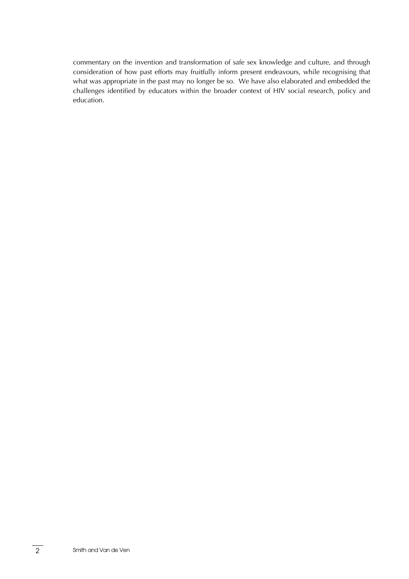commentary on the invention and transformation of safe sex knowledge and culture, and through consideration of how past efforts may fruitfully inform present endeavours, while recognising that what was appropriate in the past may no longer be so. We have also elaborated and embedded the challenges identified by educators within the broader context of HIV social research, policy and education.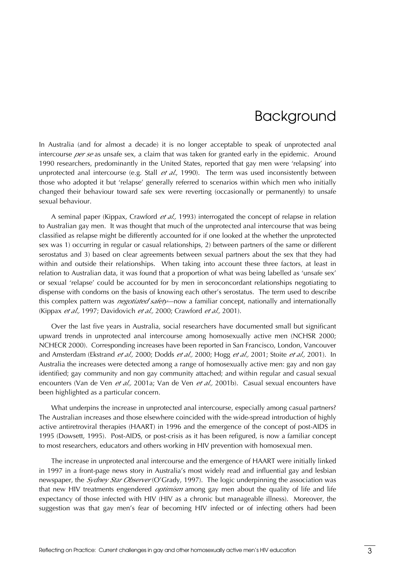# Background

<span id="page-9-0"></span>In Australia (and for almost a decade) it is no longer acceptable to speak of unprotected anal intercourse *per se* as unsafe sex, a claim that was taken for granted early in the epidemic. Around 1990 researchers, predominantly in the United States, reported that gay men were 'relapsing' into unprotected anal intercourse (e.g. Stall *et al.*, 1990). The term was used inconsistently between those who adopted it but 'relapse' generally referred to scenarios within which men who initially changed their behaviour toward safe sex were reverting (occasionally or permanently) to unsafe sexual behaviour.

A seminal paper (Kippax, Crawford *et al.,* 1993) interrogated the concept of relapse in relation to Australian gay men. It was thought that much of the unprotected anal intercourse that was being classified as relapse might be differently accounted for if one looked at the whether the unprotected sex was 1) occurring in regular or casual relationships, 2) between partners of the same or different serostatus and 3) based on clear agreements between sexual partners about the sex that they had within and outside their relationships. When taking into account these three factors, at least in relation to Australian data, it was found that a proportion of what was being labelled as 'unsafe sex' or sexual 'relapse' could be accounted for by men in seroconcordant relationships negotiating to dispense with condoms on the basis of knowing each other's serostatus. The term used to describe this complex pattern was *negotiated safety*—now a familiar concept, nationally and internationally (Kippax *et al.,* 1997; Davidovich *et al.,* 2000; Crawford *et al.,* 2001).

Over the last five years in Australia, social researchers have documented small but significant upward trends in unprotected anal intercourse among homosexually active men (NCHSR 2000; NCHECR 2000). Corresponding increases have been reported in San Francisco, London, Vancouver and Amsterdam (Ekstrand *et al.,* 2000; Dodds *et al.,* 2000; Hogg *et al.,* 2001; Stoite *et al.,* 2001). In Australia the increases were detected among a range of homosexually active men: gay and non gay identified; gay community and non gay community attached; and within regular and casual sexual encounters (Van de Ven *et al., 2001a*; Van de Ven *et al., 2001b*). Casual sexual encounters have been highlighted as a particular concern.

What underpins the increase in unprotected anal intercourse, especially among casual partners? The Australian increases and those elsewhere coincided with the wide-spread introduction of highly active antiretroviral therapies (HAART) in 1996 and the emergence of the concept of post-AIDS in 1995 (Dowsett, 1995). Post-AIDS, or post-crisis as it has been refigured, is now a familiar concept to most researchers, educators and others working in HIV prevention with homosexual men.

The increase in unprotected anal intercourse and the emergence of HAART were initially linked in 1997 in a front-page news story in Australia's most widely read and influential gay and lesbian newspaper, the *Sydney Star Observer* (O'Grady, 1997). The logic underpinning the association was that new HIV treatments engendered *optimism* among gay men about the quality of life and life expectancy of those infected with HIV (HIV as a chronic but manageable illness). Moreover, the suggestion was that gay men's fear of becoming HIV infected or of infecting others had been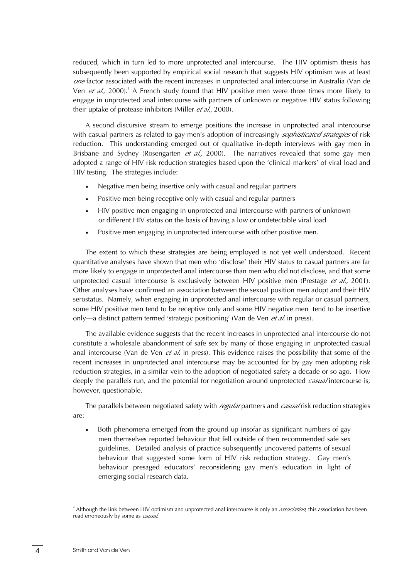reduced, which in turn led to more unprotected anal intercourse. The HIV optimism thesis has subsequently been supported by empirical social research that suggests HIV optimism was at least *one* factor associated with the recent increases in unprotected anal intercourse in Australia (Van de Ven*et al.*, 2000).<sup>4</sup> A French study found that HIV positive men were three times more likely to engage in unprotected anal intercourse with partners of unknown or negative HIV status following their uptake of protease inhibitors (Miller *et al.,* 2000).

A second discursive stream to emerge positions the increase in unprotected anal intercourse with casual partners as related to gay men's adoption of increasingly *sophisticated strategies* of risk reduction. This understanding emerged out of qualitative in-depth interviews with gay men in Brisbane and Sydney (Rosengarten *et al.,* 2000). The narratives revealed that some gay men adopted a range of HIV risk reduction strategies based upon the 'clinical markers' of viral load and HIV testing. The strategies include:

- Negative men being insertive only with casual and regular partners
- Positive men being receptive only with casual and regular partners
- HIV positive men engaging in unprotected anal intercourse with partners of unknown or different HIV status on the basis of having a low or undetectable viral load
- Positive men engaging in unprotected intercourse with other positive men.

The extent to which these strategies are being employed is not yet well understood. Recent quantitative analyses have shown that men who 'disclose' their HIV status to casual partners are far more likely to engage in unprotected anal intercourse than men who did not disclose, and that some unprotected casual intercourse is exclusively between HIV positive men (Prestage *et al.,* 2001). Other analyses have confirmed an association between the sexual position men adopt and their HIV serostatus. Namely, when engaging in unprotected anal intercourse with regular or casual partners, some HIV positive men tend to be receptive only and some HIV negative men tend to be insertive only—a distinct pattern termed 'strategic positioning' (Van de Ven *et al.* in press).

The available evidence suggests that the recent increases in unprotected anal intercourse do not constitute a wholesale abandonment of safe sex by many of those engaging in unprotected casual anal intercourse (Van de Ven *et al.* in press). This evidence raises the possibility that some of the recent increases in unprotected anal intercourse may be accounted for by gay men adopting risk reduction strategies, in a similar vein to the adoption of negotiated safety a decade or so ago. How deeply the parallels run, and the potential for negotiation around unprotected *casual* intercourse is, however, questionable.

The parallels between negotiated safety with *regular* partners and *casual* risk reduction strategies are:

• Both phenomena emerged from the ground up insofar as significant numbers of gay men themselves reported behaviour that fell outside of then recommended safe sex guidelines. Detailed analysis of practice subsequently uncovered patterns of sexual behaviour that suggested some form of HIV risk reduction strategy. Gay men's behaviour presaged educators' reconsidering gay men's education in light of emerging social research data.

<span id="page-10-0"></span><sup>4</sup> Although the link between HIV optimism and unprotected anal intercourse is only an *association*, this association has been read erroneously by some as *causal*.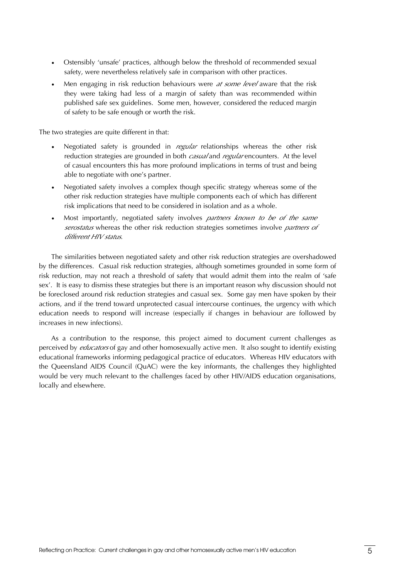- Ostensibly 'unsafe' practices, although below the threshold of recommended sexual safety, were nevertheless relatively safe in comparison with other practices.
- Men engaging in risk reduction behaviours were *at some level* aware that the risk they were taking had less of a margin of safety than was recommended within published safe sex guidelines. Some men, however, considered the reduced margin of safety to be safe enough or worth the risk.

The two strategies are quite different in that:

- Negotiated safety is grounded in *regular* relationships whereas the other risk reduction strategies are grounded in both *casual* and *regular* encounters. At the level of casual encounters this has more profound implications in terms of trust and being able to negotiate with one's partner.
- Negotiated safety involves a complex though specific strategy whereas some of the other risk reduction strategies have multiple components each of which has different risk implications that need to be considered in isolation and as a whole.
- Most importantly, negotiated safety involves *partners known to be of the same serostatus* whereas the other risk reduction strategies sometimes involve *partners of different HIV status*.

The similarities between negotiated safety and other risk reduction strategies are overshadowed by the differences. Casual risk reduction strategies, although sometimes grounded in some form of risk reduction, may not reach a threshold of safety that would admit them into the realm of 'safe sex'. It is easy to dismiss these strategies but there is an important reason why discussion should not be foreclosed around risk reduction strategies and casual sex. Some gay men have spoken by their actions, and if the trend toward unprotected casual intercourse continues, the urgency with which education needs to respond will increase (especially if changes in behaviour are followed by increases in new infections).

As a contribution to the response, this project aimed to document current challenges as perceived by *educators* of gay and other homosexually active men. It also sought to identify existing educational frameworks informing pedagogical practice of educators. Whereas HIV educators with the Queensland AIDS Council (QuAC) were the key informants, the challenges they highlighted would be very much relevant to the challenges faced by other HIV/AIDS education organisations, locally and elsewhere.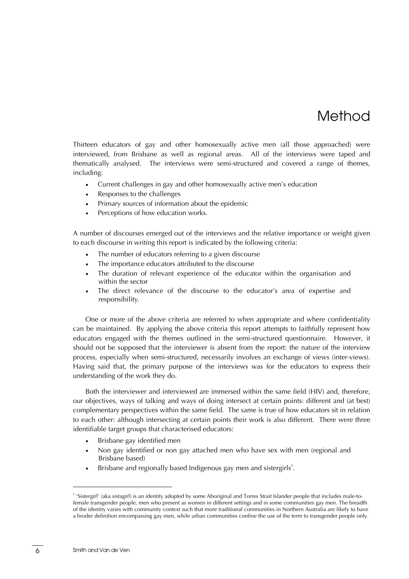# Method

<span id="page-12-0"></span>Thirteen educators of gay and other homosexually active men (all those approached) were interviewed, from Brisbane as well as regional areas. All of the interviews were taped and thematically analysed. The interviews were semi-structured and covered a range of themes, including:

- Current challenges in gay and other homosexually active men's education
- Responses to the challenges
- Primary sources of information about the epidemic
- Perceptions of how education works.

A number of discourses emerged out of the interviews and the relative importance or weight given to each discourse in writing this report is indicated by the following criteria:

- The number of educators referring to a given discourse
- The importance educators attributed to the discourse
- The duration of relevant experience of the educator within the organisation and within the sector
- The direct relevance of the discourse to the educator's area of expertise and responsibility.

One or more of the above criteria are referred to when appropriate and where confidentiality can be maintained. By applying the above criteria this report attempts to faithfully represent how educators engaged with the themes outlined in the semi-structured questionnaire. However, it should not be supposed that the interviewer is absent from the report: the nature of the interview process, especially when semi-structured, necessarily involves an exchange of views (inter-views). Having said that, the primary purpose of the interviews was for the educators to express their understanding of the work they do.

Both the interviewer and interviewed are immersed within the same field (HIV) and, therefore, our objectives, ways of talking and ways of doing intersect at certain points: different and (at best) complementary perspectives within the same field. The same is true of how educators sit in relation to each other: although intersecting at certain points their work is also different. There were three identifiable target groups that characterised educators:

- Brisbane gay identified men
- Non gay identified or non gay attached men who have sex with men (regional and Brisbane based)
- $\bullet$  Brisbane and regionally based Indigenous gay men and sistergirls<sup>[5](#page-12-1)</sup>.

<span id="page-12-1"></span><sup>5</sup> 'Sistergirl' (aka sistagirl) is an identity adopted by some Aboriginal and Torres Strait Islander people that includes male-tofemale transgender people, men who present as women in different settings and in some communities gay men. The breadth of the identity varies with community context such that more traditional communities in Northern Australia are likely to have a broder definition encompassing gay men, while urban communities confine the use of the term to transgender people only.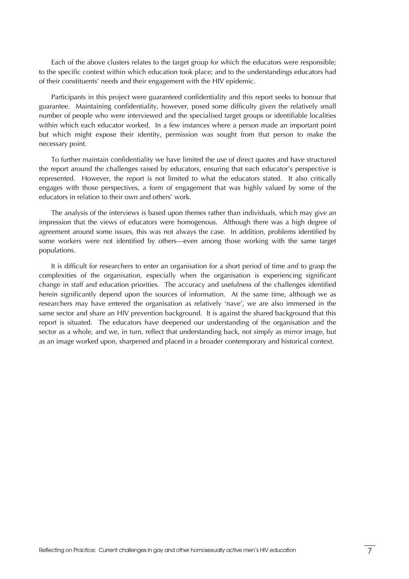Each of the above clusters relates to the target group for which the educators were responsible; to the specific context within which education took place; and to the understandings educators had of their constituents' needs and their engagement with the HIV epidemic.

Participants in this project were guaranteed confidentiality and this report seeks to honour that guarantee. Maintaining confidentiality, however, posed some difficulty given the relatively small number of people who were interviewed and the specialised target groups or identifiable localities within which each educator worked. In a few instances where a person made an important point but which might expose their identity, permission was sought from that person to make the necessary point.

To further maintain confidentiality we have limited the use of direct quotes and have structured the report around the challenges raised by educators, ensuring that each educator's perspective is represented. However, the report is not limited to what the educators stated. It also critically engages with those perspectives, a form of engagement that was highly valued by some of the educators in relation to their own and others' work.

The analysis of the interviews is based upon themes rather than individuals, which may give an impression that the views of educators were homogenous. Although there was a high degree of agreement around some issues, this was not always the case. In addition, problems identified by some workers were not identified by others—even among those working with the same target populations.

It is difficult for researchers to enter an organisation for a short period of time and to grasp the complexities of the organisation, especially when the organisation is experiencing significant change in staff and education priorities. The accuracy and usefulness of the challenges identified herein significantly depend upon the sources of information. At the same time, although we as researchers may have entered the organisation as relatively 'nave', we are also immersed in the same sector and share an HIV prevention background. It is against the shared background that this report is situated. The educators have deepened our understanding of the organisation and the sector as a whole, and we, in turn, reflect that understanding back, not simply as mirror image, but as an image worked upon, sharpened and placed in a broader contemporary and historical context.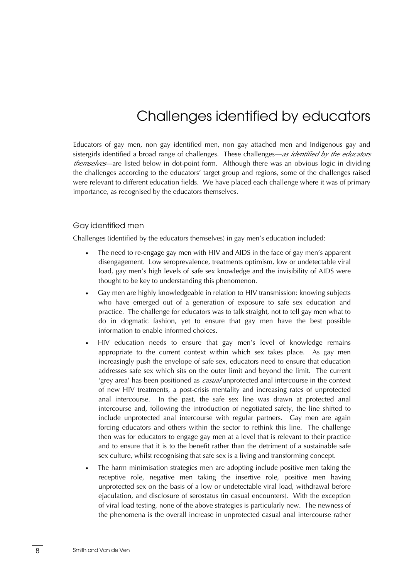# Challenges identified by educators

<span id="page-14-0"></span>Educators of gay men, non gay identified men, non gay attached men and Indigenous gay and sistergirls identified a broad range of challenges. These challenges—*as identified by the educators themselves*—are listed below in dot-point form. Although there was an obvious logic in dividing the challenges according to the educators' target group and regions, some of the challenges raised were relevant to different education fields. We have placed each challenge where it was of primary importance, as recognised by the educators themselves.

#### Gay identified men

Challenges (identified by the educators themselves) in gay men's education included:

- The need to re-engage gay men with HIV and AIDS in the face of gay men's apparent disengagement. Low seroprevalence, treatments optimism, low or undetectable viral load, gay men's high levels of safe sex knowledge and the invisibility of AIDS were thought to be key to understanding this phenomenon.
- Gay men are highly knowledgeable in relation to HIV transmission: knowing subjects who have emerged out of a generation of exposure to safe sex education and practice. The challenge for educators was to talk straight, not to tell gay men what to do in dogmatic fashion, yet to ensure that gay men have the best possible information to enable informed choices.
- HIV education needs to ensure that gay men's level of knowledge remains appropriate to the current context within which sex takes place. As gay men increasingly push the envelope of safe sex, educators need to ensure that education addresses safe sex which sits on the outer limit and beyond the limit. The current 'grey area' has been positioned as *casual* unprotected anal intercourse in the context of new HIV treatments, a post-crisis mentality and increasing rates of unprotected anal intercourse. In the past, the safe sex line was drawn at protected anal intercourse and, following the introduction of negotiated safety, the line shifted to include unprotected anal intercourse with regular partners. Gay men are again forcing educators and others within the sector to rethink this line. The challenge then was for educators to engage gay men at a level that is relevant to their practice and to ensure that it is to the benefit rather than the detriment of a sustainable safe sex culture, whilst recognising that safe sex is a living and transforming concept.
- The harm minimisation strategies men are adopting include positive men taking the receptive role, negative men taking the insertive role, positive men having unprotected sex on the basis of a low or undetectable viral load, withdrawal before ejaculation, and disclosure of serostatus (in casual encounters). With the exception of viral load testing, none of the above strategies is particularly new. The newness of the phenomena is the overall increase in unprotected casual anal intercourse rather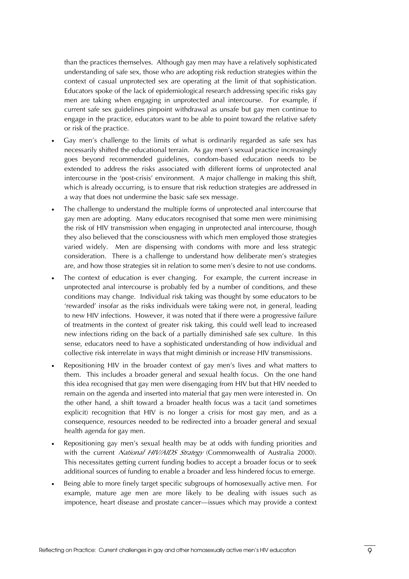than the practices themselves. Although gay men may have a relatively sophisticated understanding of safe sex, those who are adopting risk reduction strategies within the context of casual unprotected sex are operating at the limit of that sophistication. Educators spoke of the lack of epidemiological research addressing specific risks gay men are taking when engaging in unprotected anal intercourse. For example, if current safe sex guidelines pinpoint withdrawal as unsafe but gay men continue to engage in the practice, educators want to be able to point toward the relative safety or risk of the practice.

- Gay men's challenge to the limits of what is ordinarily regarded as safe sex has necessarily shifted the educational terrain. As gay men's sexual practice increasingly goes beyond recommended guidelines, condom-based education needs to be extended to address the risks associated with different forms of unprotected anal intercourse in the 'post-crisis' environment. A major challenge in making this shift, which is already occurring, is to ensure that risk reduction strategies are addressed in a way that does not undermine the basic safe sex message.
- The challenge to understand the multiple forms of unprotected anal intercourse that gay men are adopting. Many educators recognised that some men were minimising the risk of HIV transmission when engaging in unprotected anal intercourse, though they also believed that the consciousness with which men employed those strategies varied widely. Men are dispensing with condoms with more and less strategic consideration. There is a challenge to understand how deliberate men's strategies are, and how those strategies sit in relation to some men's desire to not use condoms.
- The context of education is ever changing. For example, the current increase in unprotected anal intercourse is probably fed by a number of conditions, and these conditions may change. Individual risk taking was thought by some educators to be 'rewarded' insofar as the risks individuals were taking were not, in general, leading to new HIV infections. However, it was noted that if there were a progressive failure of treatments in the context of greater risk taking, this could well lead to increased new infections riding on the back of a partially diminished safe sex culture. In this sense, educators need to have a sophisticated understanding of how individual and collective risk interrelate in ways that might diminish or increase HIV transmissions.
- Repositioning HIV in the broader context of gay men's lives and what matters to them. This includes a broader general and sexual health focus. On the one hand this idea recognised that gay men were disengaging from HIV but that HIV needed to remain on the agenda and inserted into material that gay men were interested in. On the other hand, a shift toward a broader health focus was a tacit (and sometimes explicit) recognition that HIV is no longer a crisis for most gay men, and as a consequence, resources needed to be redirected into a broader general and sexual health agenda for gay men.
- Repositioning gay men's sexual health may be at odds with funding priorities and with the current *National HIV/AIDS Strategy* (Commonwealth of Australia 2000). This necessitates getting current funding bodies to accept a broader focus or to seek additional sources of funding to enable a broader and less hindered focus to emerge.
- Being able to more finely target specific subgroups of homosexually active men. For example, mature age men are more likely to be dealing with issues such as impotence, heart disease and prostate cancer—issues which may provide a context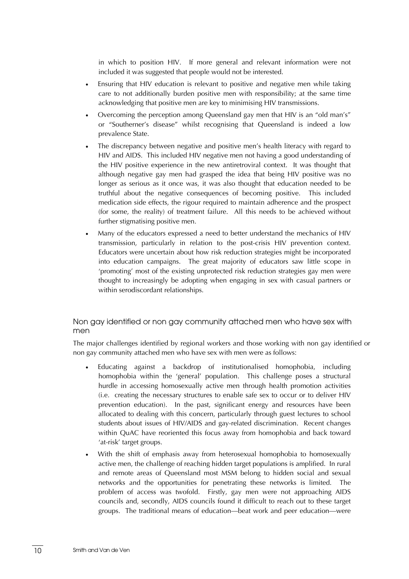<span id="page-16-0"></span>in which to position HIV. If more general and relevant information were not included it was suggested that people would not be interested.

- Ensuring that HIV education is relevant to positive and negative men while taking care to not additionally burden positive men with responsibility; at the same time acknowledging that positive men are key to minimising HIV transmissions.
- Overcoming the perception among Queensland gay men that HIV is an "old man's" or "Southerner's disease" whilst recognising that Queensland is indeed a low prevalence State.
- The discrepancy between negative and positive men's health literacy with regard to HIV and AIDS. This included HIV negative men not having a good understanding of the HIV positive experience in the new antiretroviral context. It was thought that although negative gay men had grasped the idea that being HIV positive was no longer as serious as it once was, it was also thought that education needed to be truthful about the negative consequences of becoming positive. This included medication side effects, the rigour required to maintain adherence and the prospect (for some, the reality) of treatment failure. All this needs to be achieved without further stigmatising positive men.
- Many of the educators expressed a need to better understand the mechanics of HIV transmission, particularly in relation to the post-crisis HIV prevention context. Educators were uncertain about how risk reduction strategies might be incorporated into education campaigns. The great majority of educators saw little scope in 'promoting' most of the existing unprotected risk reduction strategies gay men were thought to increasingly be adopting when engaging in sex with casual partners or within serodiscordant relationships.

### Non gay identified or non gay community attached men who have sex with men

The major challenges identified by regional workers and those working with non gay identified or non gay community attached men who have sex with men were as follows:

- Educating against a backdrop of institutionalised homophobia, including homophobia within the 'general' population. This challenge poses a structural hurdle in accessing homosexually active men through health promotion activities (i.e. creating the necessary structures to enable safe sex to occur or to deliver HIV prevention education). In the past, significant energy and resources have been allocated to dealing with this concern, particularly through guest lectures to school students about issues of HIV/AIDS and gay-related discrimination. Recent changes within QuAC have reoriented this focus away from homophobia and back toward 'at-risk' target groups.
- With the shift of emphasis away from heterosexual homophobia to homosexually active men, the challenge of reaching hidden target populations is amplified. In rural and remote areas of Queensland most MSM belong to hidden social and sexual networks and the opportunities for penetrating these networks is limited. The problem of access was twofold. Firstly, gay men were not approaching AIDS councils and, secondly, AIDS councils found it difficult to reach out to these target groups. The traditional means of education—beat work and peer education—were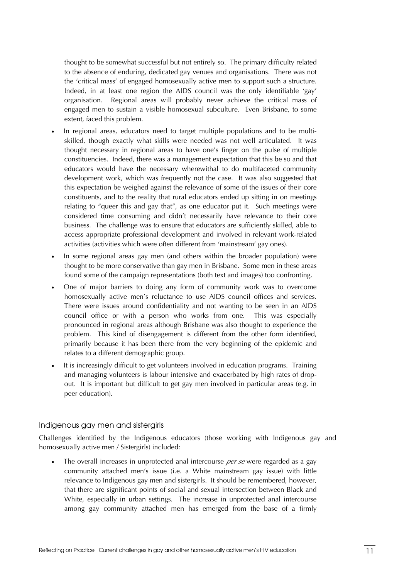<span id="page-17-0"></span>thought to be somewhat successful but not entirely so. The primary difficulty related to the absence of enduring, dedicated gay venues and organisations. There was not the 'critical mass' of engaged homosexually active men to support such a structure. Indeed, in at least one region the AIDS council was the only identifiable 'gay' organisation. Regional areas will probably never achieve the critical mass of engaged men to sustain a visible homosexual subculture. Even Brisbane, to some extent, faced this problem.

- In regional areas, educators need to target multiple populations and to be multiskilled, though exactly what skills were needed was not well articulated. It was thought necessary in regional areas to have one's finger on the pulse of multiple constituencies. Indeed, there was a management expectation that this be so and that educators would have the necessary wherewithal to do multifaceted community development work, which was frequently not the case. It was also suggested that this expectation be weighed against the relevance of some of the issues of their core constituents, and to the reality that rural educators ended up sitting in on meetings relating to "queer this and gay that", as one educator put it. Such meetings were considered time consuming and didn't necessarily have relevance to their core business. The challenge was to ensure that educators are sufficiently skilled, able to access appropriate professional development and involved in relevant work-related activities (activities which were often different from 'mainstream' gay ones).
- In some regional areas gay men (and others within the broader population) were thought to be more conservative than gay men in Brisbane. Some men in these areas found some of the campaign representations (both text and images) too confronting.
- One of major barriers to doing any form of community work was to overcome homosexually active men's reluctance to use AIDS council offices and services. There were issues around confidentiality and not wanting to be seen in an AIDS council office or with a person who works from one. This was especially pronounced in regional areas although Brisbane was also thought to experience the problem. This kind of disengagement is different from the other form identified, primarily because it has been there from the very beginning of the epidemic and relates to a different demographic group.
- It is increasingly difficult to get volunteers involved in education programs. Training and managing volunteers is labour intensive and exacerbated by high rates of dropout. It is important but difficult to get gay men involved in particular areas (e.g. in peer education).

#### Indigenous gay men and sistergirls

Challenges identified by the Indigenous educators (those working with Indigenous gay and homosexually active men / Sistergirls) included:

• The overall increases in unprotected anal intercourse *per se* were regarded as a gay community attached men's issue (i.e. a White mainstream gay issue) with little relevance to Indigenous gay men and sistergirls. It should be remembered, however, that there are significant points of social and sexual intersection between Black and White, especially in urban settings. The increase in unprotected anal intercourse among gay community attached men has emerged from the base of a firmly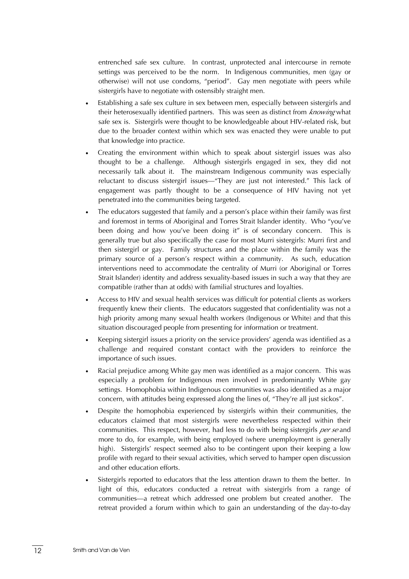entrenched safe sex culture. In contrast, unprotected anal intercourse in remote settings was perceived to be the norm. In Indigenous communities, men (gay or otherwise) will not use condoms, "period". Gay men negotiate with peers while sistergirls have to negotiate with ostensibly straight men.

- Establishing a safe sex culture in sex between men, especially between sistergirls and their heterosexually identified partners. This was seen as distinct from *knowing* what safe sex is. Sistergirls were thought to be knowledgeable about HIV-related risk, but due to the broader context within which sex was enacted they were unable to put that knowledge into practice.
- Creating the environment within which to speak about sistergirl issues was also thought to be a challenge. Although sistergirls engaged in sex, they did not necessarily talk about it. The mainstream Indigenous community was especially reluctant to discuss sistergirl issues—"They are just not interested." This lack of engagement was partly thought to be a consequence of HIV having not yet penetrated into the communities being targeted.
- The educators suggested that family and a person's place within their family was first and foremost in terms of Aboriginal and Torres Strait Islander identity. Who "you've been doing and how you've been doing it" is of secondary concern. This is generally true but also specifically the case for most Murri sistergirls: Murri first and then sistergirl or gay. Family structures and the place within the family was the primary source of a person's respect within a community. As such, education interventions need to accommodate the centrality of Murri (or Aboriginal or Torres Strait Islander) identity and address sexuality-based issues in such a way that they are compatible (rather than at odds) with familial structures and loyalties.
- Access to HIV and sexual health services was difficult for potential clients as workers frequently knew their clients. The educators suggested that confidentiality was not a high priority among many sexual health workers (Indigenous or White) and that this situation discouraged people from presenting for information or treatment.
- Keeping sistergirl issues a priority on the service providers' agenda was identified as a challenge and required constant contact with the providers to reinforce the importance of such issues.
- Racial prejudice among White gay men was identified as a major concern. This was especially a problem for Indigenous men involved in predominantly White gay settings. Homophobia within Indigenous communities was also identified as a major concern, with attitudes being expressed along the lines of, "They're all just sickos".
- Despite the homophobia experienced by sistergirls within their communities, the educators claimed that most sistergirls were nevertheless respected within their communities. This respect, however, had less to do with being sistergirls *per se* and more to do, for example, with being employed (where unemployment is generally high). Sistergirls' respect seemed also to be contingent upon their keeping a low profile with regard to their sexual activities, which served to hamper open discussion and other education efforts.
- Sistergirls reported to educators that the less attention drawn to them the better. In light of this, educators conducted a retreat with sistergirls from a range of communities—a retreat which addressed one problem but created another. The retreat provided a forum within which to gain an understanding of the day-to-day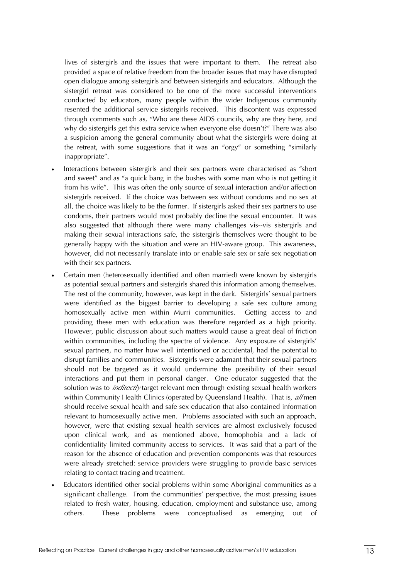lives of sistergirls and the issues that were important to them. The retreat also provided a space of relative freedom from the broader issues that may have disrupted open dialogue among sistergirls and between sistergirls and educators. Although the sistergirl retreat was considered to be one of the more successful interventions conducted by educators, many people within the wider Indigenous community resented the additional service sistergirls received. This discontent was expressed through comments such as, "Who are these AIDS councils, why are they here, and why do sistergirls get this extra service when everyone else doesn't?" There was also a suspicion among the general community about what the sistergirls were doing at the retreat, with some suggestions that it was an "orgy" or something "similarly inappropriate".

- Interactions between sistergirls and their sex partners were characterised as "short and sweet" and as "a quick bang in the bushes with some man who is not getting it from his wife". This was often the only source of sexual interaction and/or affection sistergirls received. If the choice was between sex without condoms and no sex at all, the choice was likely to be the former. If sistergirls asked their sex partners to use condoms, their partners would most probably decline the sexual encounter. It was also suggested that although there were many challenges vis--vis sistergirls and making their sexual interactions safe, the sistergirls themselves were thought to be generally happy with the situation and were an HIV-aware group. This awareness, however, did not necessarily translate into or enable safe sex or safe sex negotiation with their sex partners.
- Certain men (heterosexually identified and often married) were known by sistergirls as potential sexual partners and sistergirls shared this information among themselves. The rest of the community, however, was kept in the dark. Sistergirls' sexual partners were identified as the biggest barrier to developing a safe sex culture among homosexually active men within Murri communities. Getting access to and providing these men with education was therefore regarded as a high priority. However, public discussion about such matters would cause a great deal of friction within communities, including the spectre of violence. Any exposure of sistergirls' sexual partners, no matter how well intentioned or accidental, had the potential to disrupt families and communities. Sistergirls were adamant that their sexual partners should not be targeted as it would undermine the possibility of their sexual interactions and put them in personal danger. One educator suggested that the solution was to *indirectly* target relevant men through existing sexual health workers within Community Health Clinics (operated by Queensland Health). That is, *all* men should receive sexual health and safe sex education that also contained information relevant to homosexually active men. Problems associated with such an approach, however, were that existing sexual health services are almost exclusively focused upon clinical work, and as mentioned above, homophobia and a lack of confidentiality limited community access to services. It was said that a part of the reason for the absence of education and prevention components was that resources were already stretched: service providers were struggling to provide basic services relating to contact tracing and treatment.
- Educators identified other social problems within some Aboriginal communities as a significant challenge. From the communities' perspective, the most pressing issues related to fresh water, housing, education, employment and substance use, among others. These problems were conceptualised as emerging out of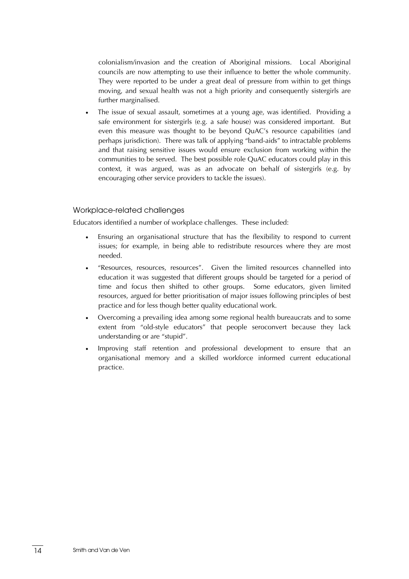<span id="page-20-0"></span>colonialism/invasion and the creation of Aboriginal missions. Local Aboriginal councils are now attempting to use their influence to better the whole community. They were reported to be under a great deal of pressure from within to get things moving, and sexual health was not a high priority and consequently sistergirls are further marginalised.

The issue of sexual assault, sometimes at a young age, was identified. Providing a safe environment for sistergirls (e.g. a safe house) was considered important. But even this measure was thought to be beyond QuAC's resource capabilities (and perhaps jurisdiction). There was talk of applying "band-aids" to intractable problems and that raising sensitive issues would ensure exclusion from working within the communities to be served. The best possible role QuAC educators could play in this context, it was argued, was as an advocate on behalf of sistergirls (e.g. by encouraging other service providers to tackle the issues).

#### Workplace-related challenges

Educators identified a number of workplace challenges. These included:

- Ensuring an organisational structure that has the flexibility to respond to current issues; for example, in being able to redistribute resources where they are most needed.
- "Resources, resources, resources". Given the limited resources channelled into education it was suggested that different groups should be targeted for a period of time and focus then shifted to other groups. Some educators, given limited resources, argued for better prioritisation of major issues following principles of best practice and for less though better quality educational work.
- Overcoming a prevailing idea among some regional health bureaucrats and to some extent from "old-style educators" that people seroconvert because they lack understanding or are "stupid".
- Improving staff retention and professional development to ensure that an organisational memory and a skilled workforce informed current educational practice.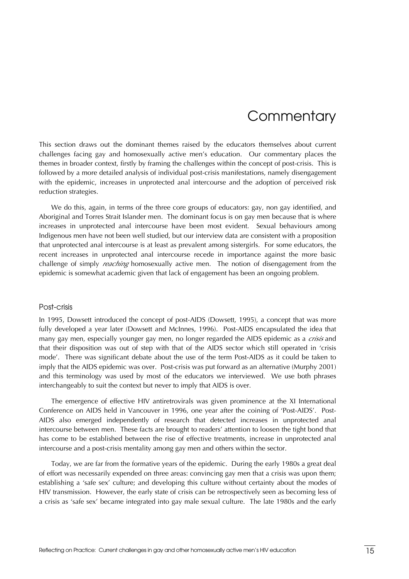# **Commentary**

<span id="page-21-0"></span>This section draws out the dominant themes raised by the educators themselves about current challenges facing gay and homosexually active men's education. Our commentary places the themes in broader context, firstly by framing the challenges within the concept of post-crisis. This is followed by a more detailed analysis of individual post-crisis manifestations, namely disengagement with the epidemic, increases in unprotected anal intercourse and the adoption of perceived risk reduction strategies.

We do this, again, in terms of the three core groups of educators: gay, non gay identified, and Aboriginal and Torres Strait Islander men. The dominant focus is on gay men because that is where increases in unprotected anal intercourse have been most evident. Sexual behaviours among Indigenous men have not been well studied, but our interview data are consistent with a proposition that unprotected anal intercourse is at least as prevalent among sistergirls. For some educators, the recent increases in unprotected anal intercourse recede in importance against the more basic challenge of simply *reaching* homosexually active men. The notion of disengagement from the epidemic is somewhat academic given that lack of engagement has been an ongoing problem.

#### Post-crisis

In 1995, Dowsett introduced the concept of post-AIDS (Dowsett, 1995), a concept that was more fully developed a year later (Dowsett and McInnes, 1996). Post-AIDS encapsulated the idea that many gay men, especially younger gay men, no longer regarded the AIDS epidemic as a *crisis* and that their disposition was out of step with that of the AIDS sector which still operated in 'crisis mode'. There was significant debate about the use of the term Post-AIDS as it could be taken to imply that the AIDS epidemic was over. Post-crisis was put forward as an alternative (Murphy 2001) and this terminology was used by most of the educators we interviewed. We use both phrases interchangeably to suit the context but never to imply that AIDS is over.

The emergence of effective HIV antiretrovirals was given prominence at the XI International Conference on AIDS held in Vancouver in 1996, one year after the coining of 'Post-AIDS'. Post-AIDS also emerged independently of research that detected increases in unprotected anal intercourse between men. These facts are brought to readers' attention to loosen the tight bond that has come to be established between the rise of effective treatments, increase in unprotected anal intercourse and a post-crisis mentality among gay men and others within the sector.

Today, we are far from the formative years of the epidemic. During the early 1980s a great deal of effort was necessarily expended on three areas: convincing gay men that a crisis was upon them; establishing a 'safe sex' culture; and developing this culture without certainty about the modes of HIV transmission. However, the early state of crisis can be retrospectively seen as becoming less of a crisis as 'safe sex' became integrated into gay male sexual culture. The late 1980s and the early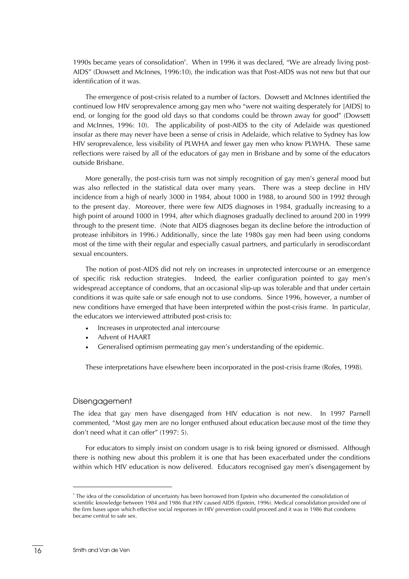<span id="page-22-0"></span>1990s became years of consolidation<sup>6</sup>. When in 1996 it was declared, "We are already living post-AIDS" (Dowsett and McInnes, 1996:10), the indication was that Post-AIDS was not new but that our identification of it was.

The emergence of post-crisis related to a number of factors. Dowsett and McInnes identified the continued low HIV seroprevalence among gay men who "were not waiting desperately for [AIDS] to end, or longing for the good old days so that condoms could be thrown away for good" (Dowsett and McInnes, 1996: 10). The applicability of post-AIDS to the city of Adelaide was questioned insofar as there may never have been a sense of crisis in Adelaide, which relative to Sydney has low HIV seroprevalence, less visibility of PLWHA and fewer gay men who know PLWHA. These same reflections were raised by all of the educators of gay men in Brisbane and by some of the educators outside Brisbane.

More generally, the post-crisis turn was not simply recognition of gay men's general mood but was also reflected in the statistical data over many years. There was a steep decline in HIV incidence from a high of nearly 3000 in 1984, about 1000 in 1988, to around 500 in 1992 through to the present day. Moreover, there were few AIDS diagnoses in 1984, gradually increasing to a high point of around 1000 in 1994, after which diagnoses gradually declined to around 200 in 1999 through to the present time. (Note that AIDS diagnoses began its decline before the introduction of protease inhibitors in 1996.) Additionally, since the late 1980s gay men had been using condoms most of the time with their regular and especially casual partners, and particularly in serodiscordant sexual encounters.

The notion of post-AIDS did not rely on increases in unprotected intercourse or an emergence of specific risk reduction strategies. Indeed, the earlier configuration pointed to gay men's widespread acceptance of condoms, that an occasional slip-up was tolerable and that under certain conditions it was quite safe or safe enough not to use condoms. Since 1996, however, a number of new conditions have emerged that have been interpreted within the post-crisis frame. In particular, the educators we interviewed attributed post-crisis to:

- Increases in unprotected anal intercourse
- Advent of HAART
- Generalised optimism permeating gay men's understanding of the epidemic.

These interpretations have elsewhere been incorporated in the post-crisis frame (Rofes, 1998).

#### Disengagement

The idea that gay men have disengaged from HIV education is not new. In 1997 Parnell commented, "Most gay men are no longer enthused about education because most of the time they don't need what it can offer" (1997: 5).

For educators to simply insist on condom usage is to risk being ignored or dismissed. Although there is nothing new about this problem it is one that has been exacerbated under the conditions within which HIV education is now delivered. Educators recognised gay men's disengagement by

<span id="page-22-1"></span><sup>6</sup> The idea of the consolidation of uncertainty has been borrowed from Epstein who documented the consolidation of scientific knowledge between 1984 and 1986 that HIV caused AIDS (Epstein, 1996). Medical consolidation provided one of the firm bases upon which effective social responses in HIV prevention could proceed and it was in 1986 that condoms became central to safe sex.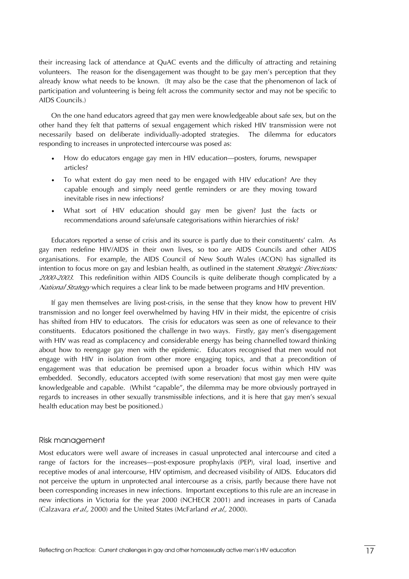<span id="page-23-0"></span>their increasing lack of attendance at QuAC events and the difficulty of attracting and retaining volunteers. The reason for the disengagement was thought to be gay men's perception that they already know what needs to be known. (It may also be the case that the phenomenon of lack of participation and volunteering is being felt across the community sector and may not be specific to AIDS Councils.)

On the one hand educators agreed that gay men were knowledgeable about safe sex, but on the other hand they felt that patterns of sexual engagement which risked HIV transmission were not necessarily based on deliberate individually-adopted strategies. The dilemma for educators responding to increases in unprotected intercourse was posed as:

- How do educators engage gay men in HIV education—posters, forums, newspaper articles?
- To what extent do gay men need to be engaged with HIV education? Are they capable enough and simply need gentle reminders or are they moving toward inevitable rises in new infections?
- What sort of HIV education should gay men be given? Just the facts or recommendations around safe/unsafe categorisations within hierarchies of risk?

Educators reported a sense of crisis and its source is partly due to their constituents' calm. As gay men redefine HIV/AIDS in their own lives, so too are AIDS Councils and other AIDS organisations. For example, the AIDS Council of New South Wales (ACON) has signalled its intention to focus more on gay and lesbian health, as outlined in the statement *Strategic Directions: 2000-2003*. This redefinition within AIDS Councils is quite deliberate though complicated by a *National Strategy* which requires a clear link to be made between programs and HIV prevention.

If gay men themselves are living post-crisis, in the sense that they know how to prevent HIV transmission and no longer feel overwhelmed by having HIV in their midst, the epicentre of crisis has shifted from HIV to educators. The crisis for educators was seen as one of relevance to their constituents. Educators positioned the challenge in two ways. Firstly, gay men's disengagement with HIV was read as complacency and considerable energy has being channelled toward thinking about how to reengage gay men with the epidemic. Educators recognised that men would not engage with HIV in isolation from other more engaging topics, and that a precondition of engagement was that education be premised upon a broader focus within which HIV was embedded. Secondly, educators accepted (with some reservation) that most gay men were quite knowledgeable and capable. (Whilst "capable", the dilemma may be more obviously portrayed in regards to increases in other sexually transmissible infections, and it is here that gay men's sexual health education may best be positioned.)

#### Risk management

Most educators were well aware of increases in casual unprotected anal intercourse and cited a range of factors for the increases—post-exposure prophylaxis (PEP), viral load, insertive and receptive modes of anal intercourse, HIV optimism, and decreased visibility of AIDS. Educators did not perceive the upturn in unprotected anal intercourse as a crisis, partly because there have not been corresponding increases in new infections. Important exceptions to this rule are an increase in new infections in Victoria for the year 2000 (NCHECR 2001) and increases in parts of Canada (Calzavara *et al.,* 2000) and the United States (McFarland *et al.,* 2000).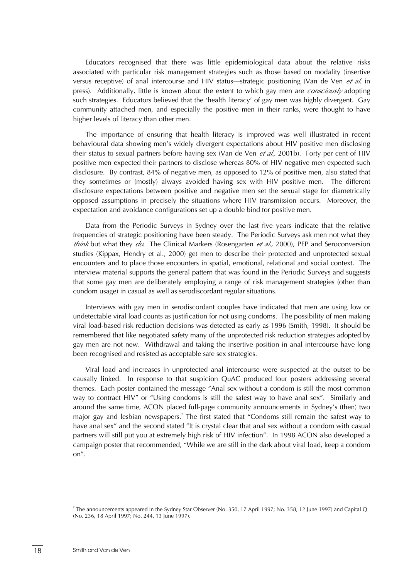Educators recognised that there was little epidemiological data about the relative risks associated with particular risk management strategies such as those based on modality (insertive versus receptive) of anal intercourse and HIV status—strategic positioning (Van de Ven *et al.* in press). Additionally, little is known about the extent to which gay men are *consciously* adopting such strategies. Educators believed that the 'health literacy' of gay men was highly divergent. Gay community attached men, and especially the positive men in their ranks, were thought to have higher levels of literacy than other men.

The importance of ensuring that health literacy is improved was well illustrated in recent behavioural data showing men's widely divergent expectations about HIV positive men disclosing their status to sexual partners before having sex (Van de Ven *et al.,* 2001b). Forty per cent of HIV positive men expected their partners to disclose whereas 80% of HIV negative men expected such disclosure. By contrast, 84% of negative men, as opposed to 12% of positive men, also stated that they sometimes or (mostly) always avoided having sex with HIV positive men. The different disclosure expectations between positive and negative men set the sexual stage for diametrically opposed assumptions in precisely the situations where HIV transmission occurs. Moreover, the expectation and avoidance configurations set up a double bind for positive men.

Data from the Periodic Surveys in Sydney over the last five years indicate that the relative frequencies of strategic positioning have been steady. The Periodic Surveys ask men not what they *think* but what they *do*. The Clinical Markers (Rosengarten *et al.,* 2000), PEP and Seroconversion studies (Kippax, Hendry et al., 2000) get men to describe their protected and unprotected sexual encounters and to place those encounters in spatial, emotional, relational and social context. The interview material supports the general pattern that was found in the Periodic Surveys and suggests that some gay men are deliberately employing a range of risk management strategies (other than condom usage) in casual as well as serodiscordant regular situations.

Interviews with gay men in serodiscordant couples have indicated that men are using low or undetectable viral load counts as justification for not using condoms. The possibility of men making viral load-based risk reduction decisions was detected as early as 1996 (Smith, 1998). It should be remembered that like negotiated safety many of the unprotected risk reduction strategies adopted by gay men are not new. Withdrawal and taking the insertive position in anal intercourse have long been recognised and resisted as acceptable safe sex strategies.

Viral load and increases in unprotected anal intercourse were suspected at the outset to be causally linked. In response to that suspicion QuAC produced four posters addressing several themes. Each poster contained the message "Anal sex without a condom is still the most common way to contract HIV" or "Using condoms is still the safest way to have anal sex". Similarly and around the same time, ACON placed full-page community announcements in Sydney's (then) two major gay and lesbian newspapers.<sup>7</sup> The first stated that "Condoms still remain the safest way to have anal sex" and the second stated "It is crystal clear that anal sex without a condom with casual partners will still put you at extremely high risk of HIV infection". In 1998 ACON also developed a campaign poster that recommended, "While we are still in the dark about viral load, keep a condom on".

<span id="page-24-0"></span><sup>7</sup> The announcements appeared in the Sydney Star Observer (No. 350, 17 April 1997; No. 358, 12 June 1997) and Capital Q (No. 236, 18 April 1997; No. 244, 13 June 1997).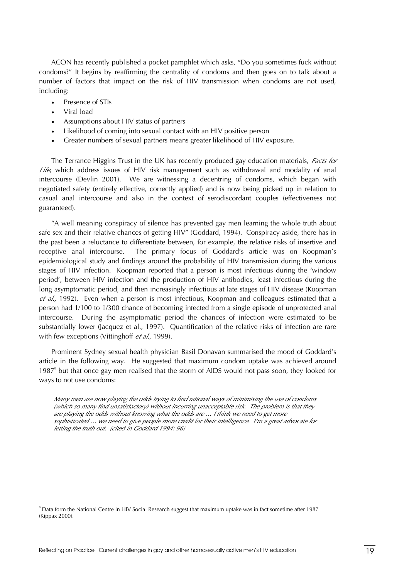ACON has recently published a pocket pamphlet which asks, "Do you sometimes fuck without condoms?" It begins by reaffirming the centrality of condoms and then goes on to talk about a number of factors that impact on the risk of HIV transmission when condoms are not used, including:

- Presence of STIs
- Viral load

- Assumptions about HIV status of partners
- Likelihood of coming into sexual contact with an HIV positive person
- Greater numbers of sexual partners means greater likelihood of HIV exposure.

The Terrance Higgins Trust in the UK has recently produced gay education materials, *Facts for Life*, which address issues of HIV risk management such as withdrawal and modality of anal intercourse (Devlin 2001). We are witnessing a decentring of condoms, which began with negotiated safety (entirely effective, correctly applied) and is now being picked up in relation to casual anal intercourse and also in the context of serodiscordant couples (effectiveness not guaranteed).

"A well meaning conspiracy of silence has prevented gay men learning the whole truth about safe sex and their relative chances of getting HIV" (Goddard, 1994). Conspiracy aside, there has in the past been a reluctance to differentiate between, for example, the relative risks of insertive and receptive anal intercourse. The primary focus of Goddard's article was on Koopman's epidemiological study and findings around the probability of HIV transmission during the various stages of HIV infection. Koopman reported that a person is most infectious during the 'window period', between HIV infection and the production of HIV antibodies, least infectious during the long asymptomatic period, and then increasingly infectious at late stages of HIV disease (Koopman *et al.,* 1992). Even when a person is most infectious, Koopman and colleagues estimated that a person had 1/100 to 1/300 chance of becoming infected from a single episode of unprotected anal intercourse. During the asymptomatic period the chances of infection were estimated to be substantially lower (Jacquez et al., 1997). Quantification of the relative risks of infection are rare with few exceptions (Vittinghoff *et al.,* 1999).

Prominent Sydney sexual health physician Basil Donavan summarised the mood of Goddard's article in the following way. He suggested that maximum condom uptake was achieved around  $1987<sup>8</sup>$  $1987<sup>8</sup>$  $1987<sup>8</sup>$  but that once gay men realised that the storm of AIDS would not pass soon, they looked for ways to not use condoms:

*Many men are now playing the odds trying to find rational ways of minimising the use of condoms (which so many find unsatisfactory) without incurring unacceptable risk. The problem is that they are playing the odds without knowing what the odds are … I think we need to get more sophisticated … we need to give people more credit for their intelligence. I'm a great advocate for letting the truth out. (cited in Goddard 1994: 96)* 

<span id="page-25-0"></span><sup>&</sup>lt;sup>8</sup> Data form the National Centre in HIV Social Research suggest that maximum uptake was in fact sometime after 1987 (Kippax 2000).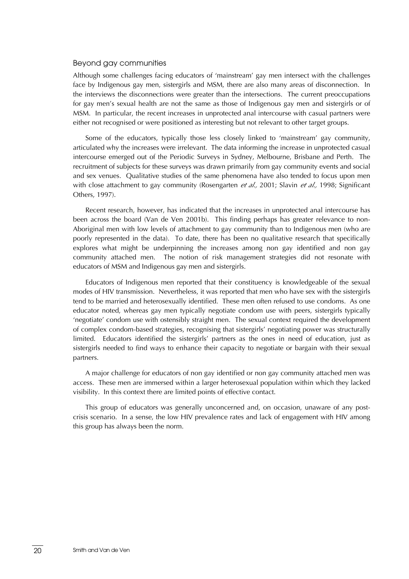#### <span id="page-26-0"></span>Beyond gay communities

Although some challenges facing educators of 'mainstream' gay men intersect with the challenges face by Indigenous gay men, sistergirls and MSM, there are also many areas of disconnection. In the interviews the disconnections were greater than the intersections. The current preoccupations for gay men's sexual health are not the same as those of Indigenous gay men and sistergirls or of MSM. In particular, the recent increases in unprotected anal intercourse with casual partners were either not recognised or were positioned as interesting but not relevant to other target groups.

Some of the educators, typically those less closely linked to 'mainstream' gay community, articulated why the increases were irrelevant. The data informing the increase in unprotected casual intercourse emerged out of the Periodic Surveys in Sydney, Melbourne, Brisbane and Perth. The recruitment of subjects for these surveys was drawn primarily from gay community events and social and sex venues. Qualitative studies of the same phenomena have also tended to focus upon men with close attachment to gay community (Rosengarten *et al.,* 2001; Slavin *et al.,* 1998; Significant Others, 1997).

Recent research, however, has indicated that the increases in unprotected anal intercourse has been across the board (Van de Ven 2001b). This finding perhaps has greater relevance to non-Aboriginal men with low levels of attachment to gay community than to Indigenous men (who are poorly represented in the data). To date, there has been no qualitative research that specifically explores what might be underpinning the increases among non gay identified and non gay community attached men. The notion of risk management strategies did not resonate with educators of MSM and Indigenous gay men and sistergirls.

Educators of Indigenous men reported that their constituency is knowledgeable of the sexual modes of HIV transmission. Nevertheless, it was reported that men who have sex with the sistergirls tend to be married and heterosexually identified. These men often refused to use condoms. As one educator noted, whereas gay men typically negotiate condom use with peers, sistergirls typically 'negotiate' condom use with ostensibly straight men. The sexual context required the development of complex condom-based strategies, recognising that sistergirls' negotiating power was structurally limited. Educators identified the sistergirls' partners as the ones in need of education, just as sistergirls needed to find ways to enhance their capacity to negotiate or bargain with their sexual partners.

A major challenge for educators of non gay identified or non gay community attached men was access. These men are immersed within a larger heterosexual population within which they lacked visibility. In this context there are limited points of effective contact.

This group of educators was generally unconcerned and, on occasion, unaware of any postcrisis scenario. In a sense, the low HIV prevalence rates and lack of engagement with HIV among this group has always been the norm.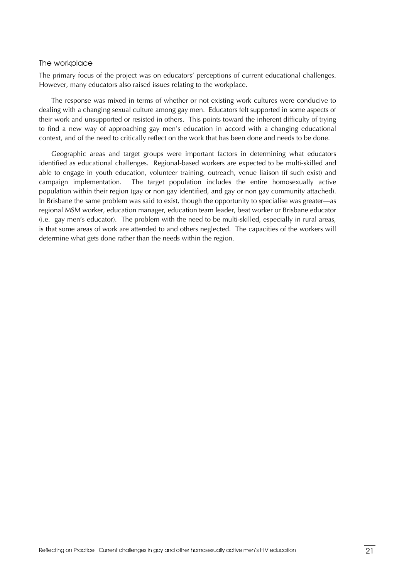#### <span id="page-27-0"></span>The workplace

The primary focus of the project was on educators' perceptions of current educational challenges. However, many educators also raised issues relating to the workplace.

The response was mixed in terms of whether or not existing work cultures were conducive to dealing with a changing sexual culture among gay men. Educators felt supported in some aspects of their work and unsupported or resisted in others. This points toward the inherent difficulty of trying to find a new way of approaching gay men's education in accord with a changing educational context, and of the need to critically reflect on the work that has been done and needs to be done.

Geographic areas and target groups were important factors in determining what educators identified as educational challenges. Regional-based workers are expected to be multi-skilled and able to engage in youth education, volunteer training, outreach, venue liaison (if such exist) and campaign implementation. The target population includes the entire homosexually active population within their region (gay or non gay identified, and gay or non gay community attached). In Brisbane the same problem was said to exist, though the opportunity to specialise was greater—as regional MSM worker, education manager, education team leader, beat worker or Brisbane educator (i.e. gay men's educator). The problem with the need to be multi-skilled, especially in rural areas, is that some areas of work are attended to and others neglected. The capacities of the workers will determine what gets done rather than the needs within the region.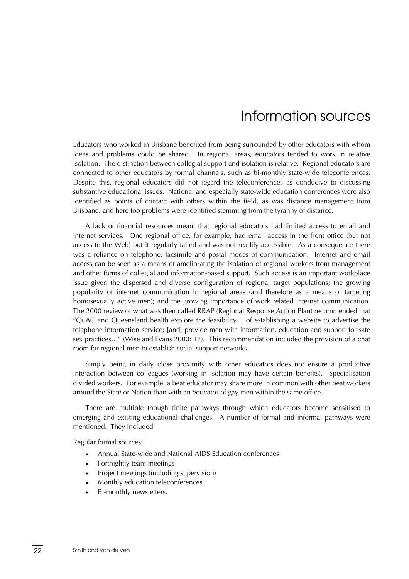# Information sources

<span id="page-28-0"></span>Educators who worked in Brisbane benefited from being surrounded by other educators with whom ideas and problems could be shared. In regional areas, educators tended to work in relative isolation. The distinction between collegial support and isolation is relative. Regional educators are connected to other educators by formal channels, such as bi-monthly state-wide teleconferences. Despite this, regional educators did not regard the teleconferences as conducive to discussing substantive educational issues. National and especially state-wide education conferences were also identified as points of contact with others within the field, as was distance management from Brisbane, and here too problems were identified stemming from the tyranny of distance.

A lack of financial resources meant that regional educators had limited access to email and internet services. One regional office, for example, had email access in the front office (but not access to the Web) but it regularly failed and was not readily accessible. As a consequence there was a reliance on telephone, facsimile and postal modes of communication. Internet and email access can be seen as a means of ameliorating the isolation of regional workers from management and other forms of collegial and information-based support. Such access is an important workplace issue given the dispersed and diverse configuration of regional target populations; the growing popularity of internet communication in regional areas (and therefore as a means of targeting homosexually active men); and the growing importance of work related internet communication. The 2000 review of what was then called RRAP (Regional Response Action Plan) recommended that "QuAC and Queensland health explore the feasibility… of establishing a website to advertise the telephone information service; [and] provide men with information, education and support for safe sex practices…" (Wise and Evans 2000: 17). This recommendation included the provision of a chat room for regional men to establish social support networks.

Simply being in daily close proximity with other educators does not ensure a productive interaction between colleagues (working in isolation may have certain benefits). Specialisation divided workers. For example, a beat educator may share more in common with other beat workers around the State or Nation than with an educator of gay men within the same office.

There are multiple though finite pathways through which educators become sensitised to emerging and existing educational challenges. A number of formal and informal pathways were mentioned. They included:

Regular formal sources:

- Annual State-wide and National AIDS Education conferences
- Fortnightly team meetings
- Project meetings (including supervision)
- Monthly education teleconferences
- Bi-monthly newsletters.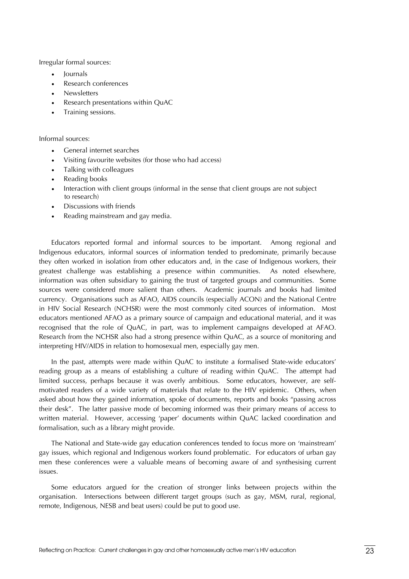Irregular formal sources:

- Journals
- Research conferences
- Newsletters
- Research presentations within QuAC
- Training sessions.

Informal sources:

- General internet searches
- Visiting favourite websites (for those who had access)
- Talking with colleagues
- Reading books
- Interaction with client groups (informal in the sense that client groups are not subject to research)
- Discussions with friends
- Reading mainstream and gay media.

Educators reported formal and informal sources to be important. Among regional and Indigenous educators, informal sources of information tended to predominate, primarily because they often worked in isolation from other educators and, in the case of Indigenous workers, their greatest challenge was establishing a presence within communities. As noted elsewhere, information was often subsidiary to gaining the trust of targeted groups and communities. Some sources were considered more salient than others. Academic journals and books had limited currency. Organisations such as AFAO, AIDS councils (especially ACON) and the National Centre in HIV Social Research (NCHSR) were the most commonly cited sources of information. Most educators mentioned AFAO as a primary source of campaign and educational material, and it was recognised that the role of QuAC, in part, was to implement campaigns developed at AFAO. Research from the NCHSR also had a strong presence within QuAC, as a source of monitoring and interpreting HIV/AIDS in relation to homosexual men, especially gay men.

In the past, attempts were made within QuAC to institute a formalised State-wide educators' reading group as a means of establishing a culture of reading within QuAC. The attempt had limited success, perhaps because it was overly ambitious. Some educators, however, are selfmotivated readers of a wide variety of materials that relate to the HIV epidemic. Others, when asked about how they gained information, spoke of documents, reports and books "passing across their desk". The latter passive mode of becoming informed was their primary means of access to written material. However, accessing 'paper' documents within QuAC lacked coordination and formalisation, such as a library might provide.

The National and State-wide gay education conferences tended to focus more on 'mainstream' gay issues, which regional and Indigenous workers found problematic. For educators of urban gay men these conferences were a valuable means of becoming aware of and synthesising current issues.

Some educators argued for the creation of stronger links between projects within the organisation. Intersections between different target groups (such as gay, MSM, rural, regional, remote, Indigenous, NESB and beat users) could be put to good use.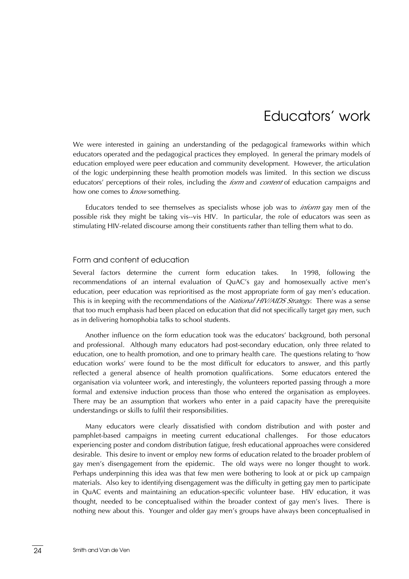# Educators' work

<span id="page-30-0"></span>We were interested in gaining an understanding of the pedagogical frameworks within which educators operated and the pedagogical practices they employed. In general the primary models of education employed were peer education and community development. However, the articulation of the logic underpinning these health promotion models was limited. In this section we discuss educators' perceptions of their roles, including the *form* and *content* of education campaigns and how one comes to *know* something.

Educators tended to see themselves as specialists whose job was to *inform* gay men of the possible risk they might be taking vis--vis HIV. In particular, the role of educators was seen as stimulating HIV-related discourse among their constituents rather than telling them what to do.

### Form and content of education

Several factors determine the current form education takes. In 1998, following the recommendations of an internal evaluation of QuAC's gay and homosexually active men's education, peer education was reprioritised as the most appropriate form of gay men's education. This is in keeping with the recommendations of the *National HIV/AIDS Strategy*. There was a sense that too much emphasis had been placed on education that did not specifically target gay men, such as in delivering homophobia talks to school students.

Another influence on the form education took was the educators' background, both personal and professional. Although many educators had post-secondary education, only three related to education, one to health promotion, and one to primary health care. The questions relating to 'how education works' were found to be the most difficult for educators to answer, and this partly reflected a general absence of health promotion qualifications. Some educators entered the organisation via volunteer work, and interestingly, the volunteers reported passing through a more formal and extensive induction process than those who entered the organisation as employees. There may be an assumption that workers who enter in a paid capacity have the prerequisite understandings or skills to fulfil their responsibilities.

Many educators were clearly dissatisfied with condom distribution and with poster and pamphlet-based campaigns in meeting current educational challenges. For those educators experiencing poster and condom distribution fatigue, fresh educational approaches were considered desirable. This desire to invent or employ new forms of education related to the broader problem of gay men's disengagement from the epidemic. The old ways were no longer thought to work. Perhaps underpinning this idea was that few men were bothering to look at or pick up campaign materials. Also key to identifying disengagement was the difficulty in getting gay men to participate in QuAC events and maintaining an education-specific volunteer base. HIV education, it was thought, needed to be conceptualised within the broader context of gay men's lives. There is nothing new about this. Younger and older gay men's groups have always been conceptualised in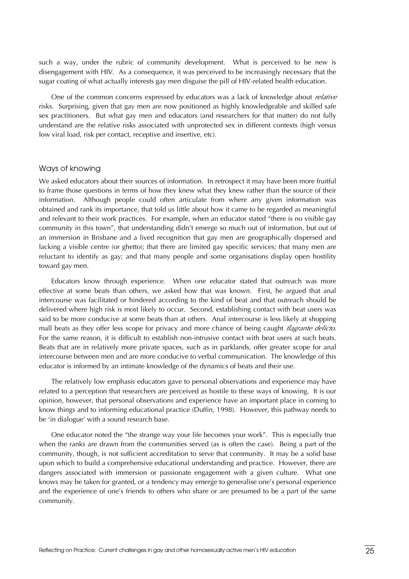<span id="page-31-0"></span>such a way, under the rubric of community development. What is perceived to be new is disengagement with HIV. As a consequence, it was perceived to be increasingly necessary that the sugar coating of what actually interests gay men disguise the pill of HIV-related health education.

One of the common concerns expressed by educators was a lack of knowledge about *relative* risks. Surprising, given that gay men are now positioned as highly knowledgeable and skilled safe sex practitioners. But what gay men and educators (and researchers for that matter) do not fully understand are the relative risks associated with unprotected sex in different contexts (high versus low viral load, risk per contact, receptive and insertive, etc).

#### Ways of knowing

We asked educators about their sources of information. In retrospect it may have been more fruitful to frame those questions in terms of how they knew what they knew rather than the source of their information. Although people could often articulate from where any given information was obtained and rank its importance, that told us little about how it came to be regarded as meaningful and relevant to their work practices. For example, when an educator stated "there is no visible gay community in this town", that understanding didn't emerge so much out of information, but out of an immersion in Brisbane and a lived recognition that gay men are geographically dispersed and lacking a visible centre (or ghetto); that there are limited gay specific services; that many men are reluctant to identify as gay; and that many people and some organisations display open hostility toward gay men.

Educators know through experience. When one educator stated that outreach was more effective at some beats than others, we asked how that was known. First, he argued that anal intercourse was facilitated or hindered according to the kind of beat and that outreach should be delivered where high risk is most likely to occur. Second, establishing contact with beat users was said to be more conducive at some beats than at others. Anal intercourse is less likely at shopping mall beats as they offer less scope for privacy and more chance of being caught *flagrante delicto*. For the same reason, it is difficult to establish non-intrusive contact with beat users at such beats. Beats that are in relatively more private spaces, such as in parklands, offer greater scope for anal intercourse between men and are more conducive to verbal communication. The knowledge of this educator is informed by an intimate knowledge of the dynamics of beats and their use.

The relatively low emphasis educators gave to personal observations and experience may have related to a perception that researchers are perceived as hostile to these ways of knowing. It is our opinion, however, that personal observations and experience have an important place in coming to know things and to informing educational practice (Duffin, 1998). However, this pathway needs to be 'in dialogue' with a sound research base.

One educator noted the "the strange way your life becomes your work". This is especially true when the ranks are drawn from the communities served (as is often the case). Being a part of the community, though, is not sufficient accreditation to serve that community. It may be a solid base upon which to build a comprehensive educational understanding and practice. However, there are dangers associated with immersion or passionate engagement with a given culture. What one knows may be taken for granted, or a tendency may emerge to generalise one's personal experience and the experience of one's friends to others who share or are presumed to be a part of the same community.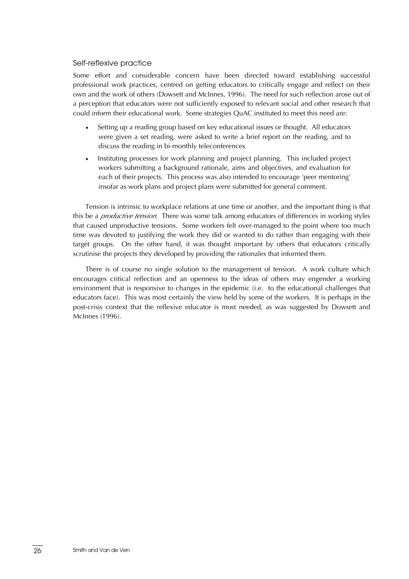#### <span id="page-32-0"></span>Self-reflexive practice

Some effort and considerable concern have been directed toward establishing successful professional work practices, centred on getting educators to critically engage and reflect on their own and the work of others (Dowsett and McInnes, 1996). The need for such reflection arose out of a perception that educators were not sufficiently exposed to relevant social and other research that could inform their educational work. Some strategies QuAC instituted to meet this need are:

- Setting up a reading group based on key educational issues or thought. All educators were given a set reading, were asked to write a brief report on the reading, and to discuss the reading in bi-monthly teleconferences.
- Instituting processes for work planning and project planning. This included project workers submitting a background rationale, aims and objectives, and evaluation for each of their projects. This process was also intended to encourage 'peer mentoring' insofar as work plans and project plans were submitted for general comment.

Tension is intrinsic to workplace relations at one time or another, and the important thing is that this be a *productive tension*. There was some talk among educators of differences in working styles that caused unproductive tensions. Some workers felt over-managed to the point where too much time was devoted to justifying the work they did or wanted to do rather than engaging with their target groups. On the other hand, it was thought important by others that educators critically scrutinise the projects they developed by providing the rationales that informed them.

There is of course no single solution to the management of tension. A work culture which encourages critical reflection and an openness to the ideas of others may engender a working environment that is responsive to changes in the epidemic (i.e. to the educational challenges that educators face). This was most certainly the view held by some of the workers. It is perhaps in the post-crisis context that the reflexive educator is most needed, as was suggested by Dowsett and McInnes (1996).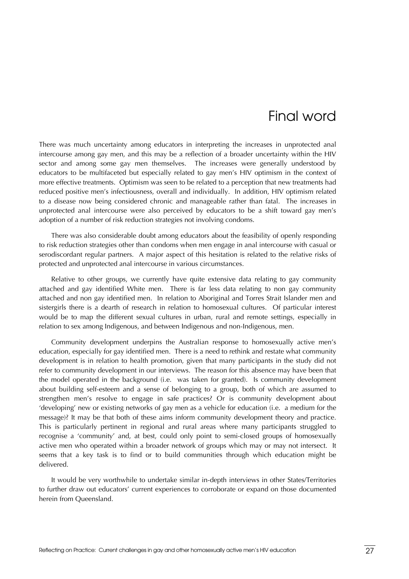# Final word

<span id="page-33-0"></span>There was much uncertainty among educators in interpreting the increases in unprotected anal intercourse among gay men, and this may be a reflection of a broader uncertainty within the HIV sector and among some gay men themselves. The increases were generally understood by educators to be multifaceted but especially related to gay men's HIV optimism in the context of more effective treatments. Optimism was seen to be related to a perception that new treatments had reduced positive men's infectiousness, overall and individually. In addition, HIV optimism related to a disease now being considered chronic and manageable rather than fatal. The increases in unprotected anal intercourse were also perceived by educators to be a shift toward gay men's adoption of a number of risk reduction strategies not involving condoms.

There was also considerable doubt among educators about the feasibility of openly responding to risk reduction strategies other than condoms when men engage in anal intercourse with casual or serodiscordant regular partners. A major aspect of this hesitation is related to the relative risks of protected and unprotected anal intercourse in various circumstances.

Relative to other groups, we currently have quite extensive data relating to gay community attached and gay identified White men. There is far less data relating to non gay community attached and non gay identified men. In relation to Aboriginal and Torres Strait Islander men and sistergirls there is a dearth of research in relation to homosexual cultures. Of particular interest would be to map the different sexual cultures in urban, rural and remote settings, especially in relation to sex among Indigenous, and between Indigenous and non-Indigenous, men.

Community development underpins the Australian response to homosexually active men's education, especially for gay identified men. There is a need to rethink and restate what community development is in relation to health promotion, given that many participants in the study did not refer to community development in our interviews. The reason for this absence may have been that the model operated in the background (i.e. was taken for granted). Is community development about building self-esteem and a sense of belonging to a group, both of which are assumed to strengthen men's resolve to engage in safe practices? Or is community development about 'developing' new or existing networks of gay men as a vehicle for education (i.e. a medium for the message)? It may be that both of these aims inform community development theory and practice. This is particularly pertinent in regional and rural areas where many participants struggled to recognise a 'community' and, at best, could only point to semi-closed groups of homosexually active men who operated within a broader network of groups which may or may not intersect. It seems that a key task is to find or to build communities through which education might be delivered.

It would be very worthwhile to undertake similar in-depth interviews in other States/Territories to further draw out educators' current experiences to corroborate or expand on those documented herein from Queensland.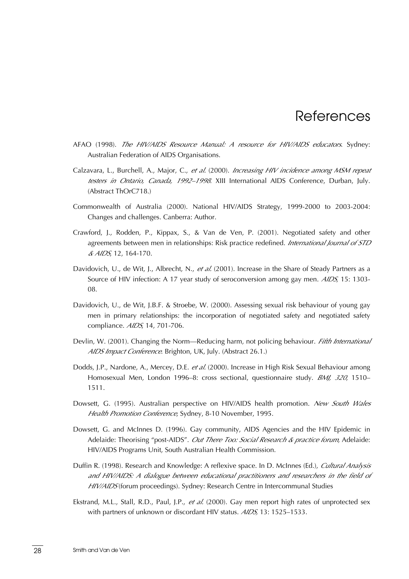### **References**

- <span id="page-34-0"></span>AFAO (1998). *The HIV/AIDS Resource Manual: A resource for HIV/AIDS educators*. Sydney: Australian Federation of AIDS Organisations.
- Calzavara, L., Burchell, A., Major, C., *et al.* (2000). *Increasing HIV incidence among MSM repeat testers in Ontario, Canada, 1992–1998*. XIII International AIDS Conference, Durban, July. (Abstract ThOrC718.)
- Commonwealth of Australia (2000). National HIV/AIDS Strategy, 1999-2000 to 2003-2004: Changes and challenges. Canberra: Author.
- Crawford, J., Rodden, P., Kippax, S., & Van de Ven, P. (2001). Negotiated safety and other agreements between men in relationships: Risk practice redefined. *International Journal of STD & AIDS*, 12, 164-170.
- Davidovich, U., de Wit, J., Albrecht, N., *et al.* (2001). Increase in the Share of Steady Partners as a Source of HIV infection: A 17 year study of seroconversion among gay men. *AIDS*, 15: 1303- 08.
- Davidovich, U., de Wit, J.B.F. & Stroebe, W. (2000). Assessing sexual risk behaviour of young gay men in primary relationships: the incorporation of negotiated safety and negotiated safety compliance. *AIDS*, 14, 701-706.
- Devlin, W. (2001). Changing the Norm—Reducing harm, not policing behaviour. *Fifth International AIDS Impact Conference*. Brighton, UK, July. (Abstract 26.1.)
- Dodds, J.P., Nardone, A., Mercey, D.E. *et al.* (2000). Increase in High Risk Sexual Behaviour among Homosexual Men, London 1996–8: cross sectional, questionnaire study. *BMJ, 320*, 1510– 1511.
- Dowsett, G. (1995). Australian perspective on HIV/AIDS health promotion. *New South Wales Health Promotion Conference*, Sydney, 8-10 November, 1995.
- Dowsett, G. and McInnes D. (1996). Gay community, AIDS Agencies and the HIV Epidemic in Adelaide: Theorising "post-AIDS". *Out There Too: Social Research & practice forum*, Adelaide: HIV/AIDS Programs Unit, South Australian Health Commission.
- Duffin R. (1998). Research and Knowledge: A reflexive space. In D. McInnes (Ed.), *Cultural Analysis and HIV/AIDS: A dialogue between educational practitioners and researchers in the field of HIV/AIDS* (forum proceedings). Sydney: Research Centre in Intercommunal Studies
- Ekstrand, M.L., Stall, R.D., Paul, J.P., *et al.* (2000). Gay men report high rates of unprotected sex with partners of unknown or discordant HIV status. *AIDS,* 13: 1525–1533.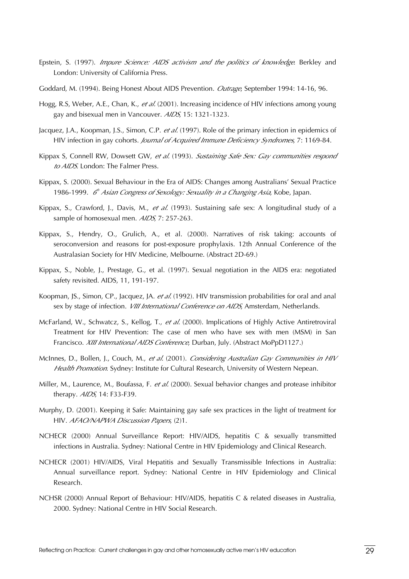- Epstein, S. (1997). *Impure Science: AIDS activism and the politics of knowledge*. Berkley and London: University of California Press.
- Goddard, M. (1994). Being Honest About AIDS Prevention. *Outrage*, September 1994: 14-16, 96.
- Hogg, R.S, Weber, A.E., Chan, K., *et al.* (2001). Increasing incidence of HIV infections among young gay and bisexual men in Vancouver. *AIDS*, 15: 1321-1323.
- Jacquez, J.A., Koopman, J.S., Simon, C.P. *et al.* (1997). Role of the primary infection in epidemics of HIV infection in gay cohorts. *Journal of Acquired Immune Deficiency Syndromes*, 7: 1169-84.
- Kippax S, Connell RW, Dowsett GW, *et al.* (1993). *Sustaining Safe Sex: Gay communities respond to AIDS*. London: The Falmer Press.
- Kippax, S. (2000). Sexual Behaviour in the Era of AIDS: Changes among Australians' Sexual Practice 1986-1999. *6<sup>th</sup> Asian Congress of Sexology: Sexuality in a Changing Asia*, Kobe, Japan.
- Kippax, S., Crawford, J., Davis, M., *et al.* (1993). Sustaining safe sex: A longitudinal study of a sample of homosexual men. *AIDS*, 7: 257-263.
- Kippax, S., Hendry, O., Grulich, A., et al. (2000). Narratives of risk taking: accounts of seroconversion and reasons for post-exposure prophylaxis. 12th Annual Conference of the Australasian Society for HIV Medicine, Melbourne. (Abstract 2D-69.)
- Kippax, S., Noble, J., Prestage, G., et al. (1997). Sexual negotiation in the AIDS era: negotiated safety revisited. AIDS, 11, 191-197.
- Koopman, JS., Simon, CP., Jacquez, JA. *et al.* (1992). HIV transmission probabilities for oral and anal sex by stage of infection. *VIII International Conference on AIDS*, Amsterdam, Netherlands.
- McFarland, W., Schwatcz, S., Kellog, T., *et al.* (2000). Implications of Highly Active Antiretroviral Treatment for HIV Prevention: The case of men who have sex with men (MSM) in San Francisco. *XIII International AIDS Conference*, Durban, July. (Abstract MoPpD1127.)
- McInnes, D., Bollen, J., Couch, M., *et al.* (2001). *Considering Australian Gay Communities in HIV Health Promotion*. Sydney: Institute for Cultural Research, University of Western Nepean.
- Miller, M., Laurence, M., Boufassa, F. *et al.* (2000). Sexual behavior changes and protease inhibitor therapy. *AIDS*, 14: F33-F39.
- Murphy, D. (2001). Keeping it Safe: Maintaining gay safe sex practices in the light of treatment for HIV. *AFAO/NAPWA Discussion Papers*, (2)1.
- NCHECR (2000) Annual Surveillance Report: HIV/AIDS, hepatitis C & sexually transmitted infections in Australia. Sydney: National Centre in HIV Epidemiology and Clinical Research.
- NCHECR (2001) HIV/AIDS, Viral Hepatitis and Sexually Transmissible Infections in Australia: Annual surveillance report. Sydney: National Centre in HIV Epidemiology and Clinical Research.
- NCHSR (2000) Annual Report of Behaviour: HIV/AIDS, hepatitis C & related diseases in Australia, 2000. Sydney: National Centre in HIV Social Research.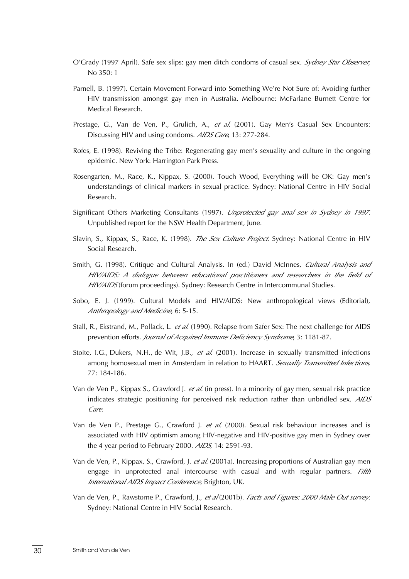- O'Grady (1997 April). Safe sex slips: gay men ditch condoms of casual sex. *Sydney Star Observer*, No 350: 1
- Parnell, B. (1997). Certain Movement Forward into Something We're Not Sure of: Avoiding further HIV transmission amongst gay men in Australia. Melbourne: McFarlane Burnett Centre for Medical Research.
- Prestage, G., Van de Ven, P., Grulich, A., *et al.* (2001). Gay Men's Casual Sex Encounters: Discussing HIV and using condoms. *AIDS Care*, 13: 277-284.
- Rofes, E. (1998). Reviving the Tribe: Regenerating gay men's sexuality and culture in the ongoing epidemic. New York: Harrington Park Press.
- Rosengarten, M., Race, K., Kippax, S. (2000). Touch Wood, Everything will be OK: Gay men's understandings of clinical markers in sexual practice. Sydney: National Centre in HIV Social Research.
- Significant Others Marketing Consultants (1997). *Unprotected gay anal sex in Sydney in 1997*. Unpublished report for the NSW Health Department, June.
- Slavin, S., Kippax, S., Race, K. (1998). *The Sex Culture Project*. Sydney: National Centre in HIV Social Research.
- Smith, G. (1998). Critique and Cultural Analysis. In (ed.) David McInnes, *Cultural Analysis and HIV/AIDS: A dialogue between educational practitioners and researchers in the field of HIV/AIDS* (forum proceedings). Sydney: Research Centre in Intercommunal Studies.
- Sobo, E. J. (1999). Cultural Models and HIV/AIDS: New anthropological views (Editorial), *Anthropology and Medicine*, 6: 5-15.
- Stall, R., Ekstrand, M., Pollack, L. *et al.* (1990). Relapse from Safer Sex: The next challenge for AIDS prevention efforts. *Journal of Acquired Immune Deficiency Syndrome*, 3: 1181-87.
- Stoite, I.G., Dukers, N.H., de Wit, J.B., *et al.* (2001). Increase in sexually transmitted infections among homosexual men in Amsterdam in relation to HAART. *Sexually Transmitted Infections*, 77: 184-186.
- Van de Ven P., Kippax S., Crawford J. *et al.* (in press). In a minority of gay men, sexual risk practice indicates strategic positioning for perceived risk reduction rather than unbridled sex. *AIDS Care*.
- Van de Ven P., Prestage G., Crawford J. *et al.* (2000). Sexual risk behaviour increases and is associated with HIV optimism among HIV-negative and HIV-positive gay men in Sydney over the 4 year period to February 2000. *AIDS*, 14: 2591-93.
- Van de Ven, P., Kippax, S., Crawford, J. *et al.* (2001a). Increasing proportions of Australian gay men engage in unprotected anal intercourse with casual and with regular partners. *Fifth International AIDS Impact Conference*, Brighton, UK.
- Van de Ven, P., Rawstorne P., Crawford, J., *et al* (2001b). *Facts and Figures: 2000 Male Out survey*. Sydney: National Centre in HIV Social Research.